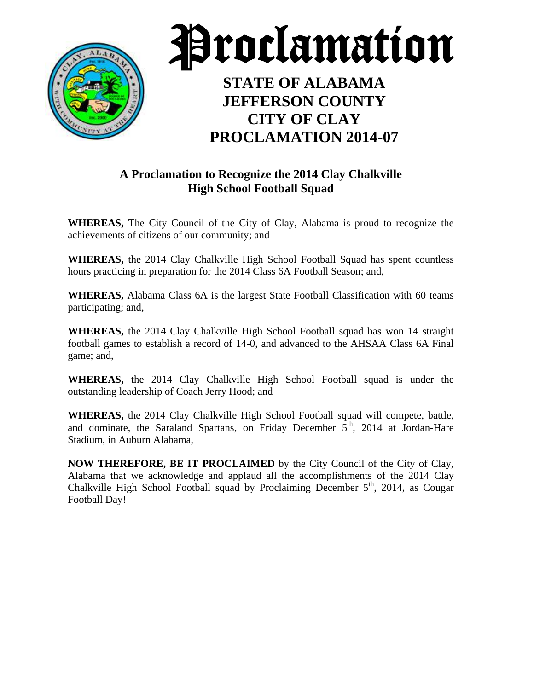



# **STATE OF ALABAMA JEFFERSON COUNTY CITY OF CLAY PROCLAMATION 2014-07**

#### **A Proclamation to Recognize the 2014 Clay Chalkville High School Football Squad**

**WHEREAS,** The City Council of the City of Clay, Alabama is proud to recognize the achievements of citizens of our community; and

**WHEREAS,** the 2014 Clay Chalkville High School Football Squad has spent countless hours practicing in preparation for the 2014 Class 6A Football Season; and,

**WHEREAS,** Alabama Class 6A is the largest State Football Classification with 60 teams participating; and,

**WHEREAS,** the 2014 Clay Chalkville High School Football squad has won 14 straight football games to establish a record of 14-0, and advanced to the AHSAA Class 6A Final game; and,

**WHEREAS,** the 2014 Clay Chalkville High School Football squad is under the outstanding leadership of Coach Jerry Hood; and

**WHEREAS,** the 2014 Clay Chalkville High School Football squad will compete, battle, and dominate, the Saraland Spartans, on Friday December  $5<sup>th</sup>$ , 2014 at Jordan-Hare Stadium, in Auburn Alabama,

**NOW THEREFORE, BE IT PROCLAIMED** by the City Council of the City of Clay, Alabama that we acknowledge and applaud all the accomplishments of the 2014 Clay Chalkville High School Football squad by Proclaiming December 5<sup>th</sup>, 2014, as Cougar Football Day!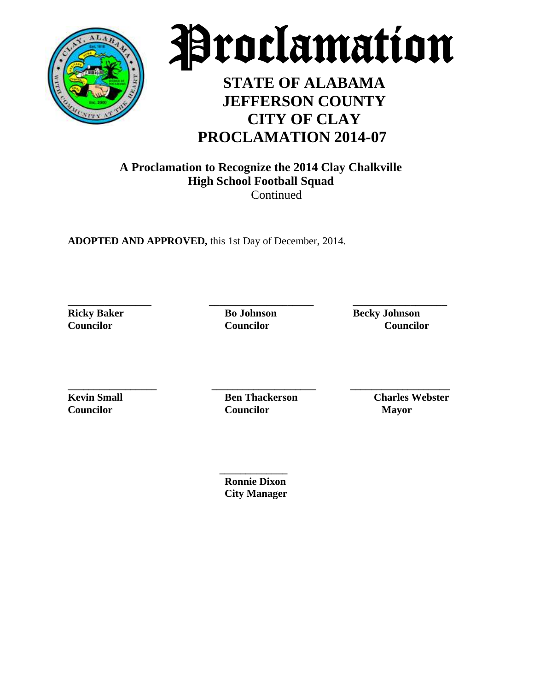



# **STATE OF ALABAMA JEFFERSON COUNTY CITY OF CLAY PROCLAMATION 2014-07**

#### **A Proclamation to Recognize the 2014 Clay Chalkville High School Football Squad Continued**

**ADOPTED AND APPROVED,** this 1st Day of December, 2014.

**\_\_\_\_\_\_\_\_\_\_\_\_\_\_\_\_ \_\_\_\_\_\_\_\_\_\_\_\_\_\_\_\_\_\_\_\_ \_\_\_\_\_\_\_\_\_\_\_\_\_\_\_\_\_\_**

**Ricky Baker Bo Johnson Becky Johnson Councilor Councilor Councilor**

**\_\_\_\_\_\_\_\_\_\_\_\_\_\_\_\_\_ \_\_\_\_\_\_\_\_\_\_\_\_\_\_\_\_\_\_\_\_ \_\_\_\_\_\_\_\_\_\_\_\_\_\_\_\_\_\_\_**

**Councilor Councilor Mayor**

**Kevin Small Ben Thackerson Charles Webster** 

 **\_\_\_\_\_\_\_\_\_\_\_\_\_ Ronnie Dixon City Manager**